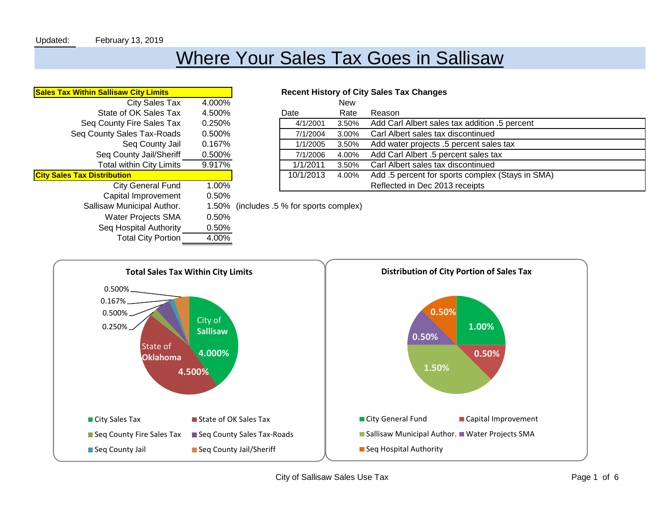Updated: February 13, 2019

# Where Your Sales Tax Goes in Sallisaw

| <b>Sales Tax Within Sallisaw City Limits</b> |        | <b>Recent History of City Sales T</b>    |            |                      |
|----------------------------------------------|--------|------------------------------------------|------------|----------------------|
| City Sales Tax                               | 4.000% |                                          | <b>New</b> |                      |
| State of OK Sales Tax                        | 4.500% | Date                                     | Rate       | Reason               |
| Seg County Fire Sales Tax                    | 0.250% | 4/1/2001                                 | 3.50%      | Add Ca               |
| Seg County Sales Tax-Roads                   | 0.500% | 7/1/2004                                 | 3.00%      | Carl Alb             |
| Seq County Jail                              | 0.167% | 1/1/2005                                 | 3.50%      | Add wat              |
| Seq County Jail/Sheriff                      | 0.500% | 7/1/2006                                 | 4.00%      | Add Ca               |
| <b>Total within City Limits</b>              | 9.917% | 1/1/2011                                 | 3.50%      | Carl Alb             |
| <b>City Sales Tax Distribution</b>           |        | 10/1/2013                                | 4.00%      | Add $.5 \, \text{p}$ |
| <b>City General Fund</b>                     | 1.00%  |                                          |            | Reflecte             |
| Capital Improvement                          | 0.50%  |                                          |            |                      |
| Sallisaw Municipal Author.                   |        | 1.50% (includes .5 % for sports complex) |            |                      |
| <b>Water Projects SMA</b>                    | 0.50%  |                                          |            |                      |
| Seq Hospital Authority                       | 0.50%  |                                          |            |                      |
| <b>Total City Portion</b>                    | 4.00%  |                                          |            |                      |
|                                              |        |                                          |            |                      |

#### **Recent History of City Sales Tax Changes**

| City Sales Tax                     | 4.000% |           | <b>New</b> |                                                  |
|------------------------------------|--------|-----------|------------|--------------------------------------------------|
| State of OK Sales Tax              | 4.500% | Date      | Rate       | Reason                                           |
| Seq County Fire Sales Tax          | 0.250% | 4/1/2001  | 3.50%      | Add Carl Albert sales tax addition .5 percent    |
| Seq County Sales Tax-Roads         | 0.500% | 7/1/2004  | 3.00%      | Carl Albert sales tax discontinued               |
| Seq County Jail                    | 0.167% | 1/1/2005  | 3.50%      | Add water projects .5 percent sales tax          |
| Seq County Jail/Sheriff            | 0.500% | 7/1/2006  | 4.00%      | Add Carl Albert .5 percent sales tax             |
| <b>Total within City Limits</b>    | 9.917% | 1/1/2011  | 3.50%      | Carl Albert sales tax discontinued               |
| <b>City Sales Tax Distribution</b> |        | 10/1/2013 | 4.00%      | Add .5 percent for sports complex (Stays in SMA) |
| City General Fund                  | 1.00%  |           |            | Reflected in Dec 2013 receipts                   |

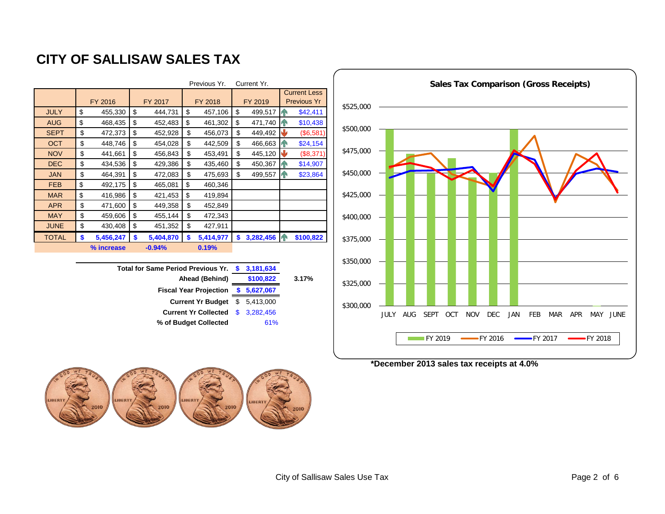### **CITY OF SALLISAW SALES TAX**

|              |         |            |         |           | Previous Yr.    |    | Current Yr. |                |                                           |  |
|--------------|---------|------------|---------|-----------|-----------------|----|-------------|----------------|-------------------------------------------|--|
|              | FY 2016 |            | FY 2017 |           | FY 2018         |    | FY 2019     |                | <b>Current Less</b><br><b>Previous Yr</b> |  |
| <b>JULY</b>  | \$      | 455,330    | \$      | 444,731   | \$<br>457,106   | \$ | 499,517     | ИN             | \$42,411                                  |  |
| <b>AUG</b>   | \$      | 468,435    | \$      | 452,483   | \$<br>461,302   | \$ | 471,740     | ИN             | \$10,438                                  |  |
| <b>SEPT</b>  | \$      | 472,373    | \$      | 452,928   | \$<br>456,073   | \$ | 449,492     | J              | (\$6,581)                                 |  |
| <b>OCT</b>   | \$      | 448,746    | \$      | 454,028   | \$<br>442,509   | \$ | 466,663     | <b>AN</b>      | \$24,154                                  |  |
| <b>NOV</b>   | \$      | 441,661    | \$      | 456,843   | \$<br>453,491   | \$ | 445,120     | J              | (\$8,371)                                 |  |
| <b>DEC</b>   | \$      | 434,536    | \$      | 429,386   | \$<br>435,460   | \$ | 450,367     | 4 <sup>N</sup> | \$14,907                                  |  |
| <b>JAN</b>   | \$      | 464,391    | \$      | 472,083   | \$<br>475,693   | \$ | 499,557     | 4 <sup>N</sup> | \$23,864                                  |  |
| <b>FEB</b>   | \$      | 492,175    | \$      | 465,081   | \$<br>460,346   |    |             |                |                                           |  |
| <b>MAR</b>   | \$      | 416,986    | \$      | 421,453   | \$<br>419,894   |    |             |                |                                           |  |
| <b>APR</b>   | \$      | 471,600    | \$      | 449,358   | \$<br>452,849   |    |             |                |                                           |  |
| <b>MAY</b>   | \$      | 459,606    | \$      | 455,144   | \$<br>472,343   |    |             |                |                                           |  |
| <b>JUNE</b>  | \$      | 430,408    | \$      | 451,352   | \$<br>427,911   |    |             |                |                                           |  |
| <b>TOTAL</b> | \$      | 5,456,247  | \$      | 5,404,870 | \$<br>5,414,977 | \$ | 3,282,456   | <b>AN</b>      | \$100,822                                 |  |
|              |         | % increase |         | $-0.94%$  | 0.19%           |    |             |                |                                           |  |





#### **\*December 2013 sales tax receipts at 4.0%**

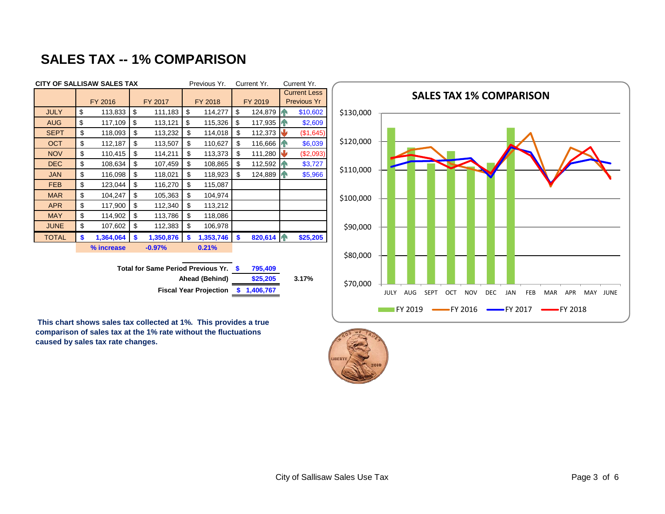## **SALES TAX -- 1% COMPARISON**



**Fiscal Year Projection \$ 1,406,767**

 **This chart shows sales tax collected at 1%. This provides a true comparison of sales tax at the 1% rate without the fluctuations caused by sales tax rate changes.** 



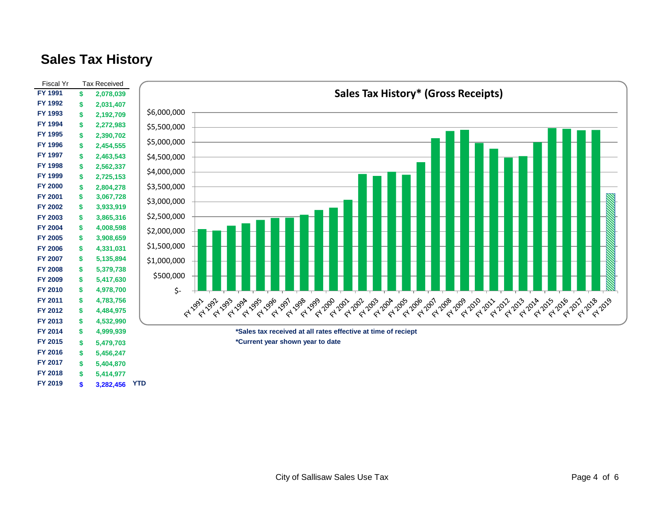#### **Sales Tax History**

 **FY 2019 \$ 3,282,456 YTD** 

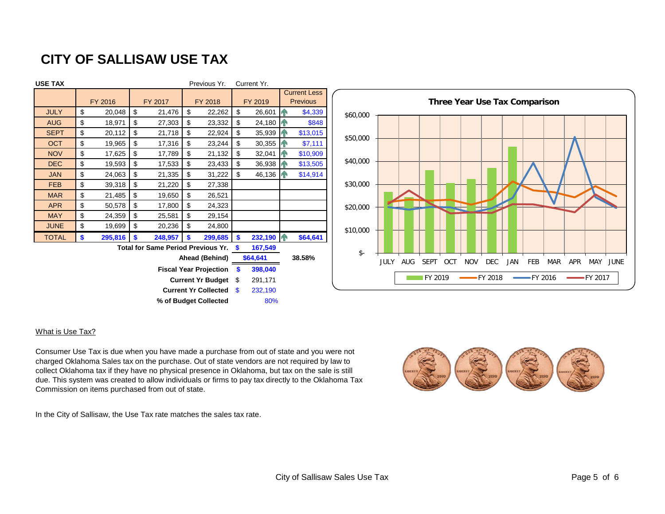### **CITY OF SALLISAW USE TAX**

| <b>USE TAX</b>                            |                          |         |         |         |          | Previous Yr. |         | Current Yr. |                                        |          |
|-------------------------------------------|--------------------------|---------|---------|---------|----------|--------------|---------|-------------|----------------------------------------|----------|
|                                           | FY 2016                  |         | FY 2017 |         | FY 2018  |              | FY 2019 |             | <b>Current Less</b><br><b>Previous</b> |          |
| <b>JULY</b>                               | \$                       | 20,048  | \$      | 21,476  | \$       | 22,262       | \$      | 26,601      | 4 <sup>1</sup>                         | \$4,339  |
| <b>AUG</b>                                | \$                       | 18,971  | \$      | 27,303  | \$       | 23,332       | \$      | 24,180      | <b>TN</b>                              | \$848    |
| <b>SEPT</b>                               | \$                       | 20,112  | \$      | 21,718  | \$       | 22,924       | \$      | 35,939      |                                        | \$13,015 |
| <b>OCT</b>                                | \$                       | 19,965  | \$      | 17,316  | \$       | 23,244       | \$      | 30,355      | ИN                                     | \$7,111  |
| <b>NOV</b>                                | \$                       | 17,625  | \$      | 17,789  | \$       | 21,132       | \$      | 32,041      | 4 <sup>o</sup>                         | \$10,909 |
| <b>DEC</b>                                | \$                       | 19,593  | \$      | 17,533  | \$       | 23,433       | \$      | 36,938      | <b>TP</b>                              | \$13,505 |
| <b>JAN</b>                                | \$                       | 24,063  | \$      | 21,335  | \$       | 31,222       | \$      | 46,136      | $\sqrt{1}$                             | \$14,914 |
| <b>FEB</b>                                | \$                       | 39,318  | \$      | 21,220  | \$       | 27,338       |         |             |                                        |          |
| <b>MAR</b>                                | \$                       | 21,485  | \$      | 19,650  | \$       | 26,521       |         |             |                                        |          |
| <b>APR</b>                                | \$                       | 50,578  | \$      | 17,800  | \$       | 24,323       |         |             |                                        |          |
| <b>MAY</b>                                | \$                       | 24,359  | \$      | 25,581  | \$       | 29,154       |         |             |                                        |          |
| <b>JUNE</b>                               | \$                       | 19,699  | \$      | 20,236  | \$       | 24,800       |         |             |                                        |          |
| <b>TOTAL</b>                              | \$                       | 295,816 | \$      | 248,957 | \$       | 299,685      | \$      | 232,190     | <b>AN</b>                              | \$64,641 |
| <b>Total for Same Period Previous Yr.</b> |                          |         |         | \$      | 167,549  |              |         |             |                                        |          |
| Ahead (Behind)                            |                          |         |         |         | \$64,641 | 38.58%       |         |             |                                        |          |
| <b>Fiscal Year Projection</b>             |                          |         |         |         |          |              | \$      | 398,040     |                                        |          |
|                                           | <b>Current Yr Budget</b> |         |         |         |          | \$           | 291,171 |             |                                        |          |
| <b>Current Yr Collected</b>               |                          |         |         |         |          | \$           | 232,190 |             |                                        |          |
| % of Budget Collected                     |                          |         |         |         |          | 80%          |         |             |                                        |          |
|                                           |                          |         |         |         |          |              |         |             |                                        |          |



#### What is Use Tax?

Consumer Use Tax is due when you have made a purchase from out of state and you were not charged Oklahoma Sales tax on the purchase. Out of state vendors are not required by law to collect Oklahoma tax if they have no physical presence in Oklahoma, but tax on the sale is still due. This system was created to allow individuals or firms to pay tax directly to the Oklahoma Tax Commission on items purchased from out of state.



In the City of Sallisaw, the Use Tax rate matches the sales tax rate.